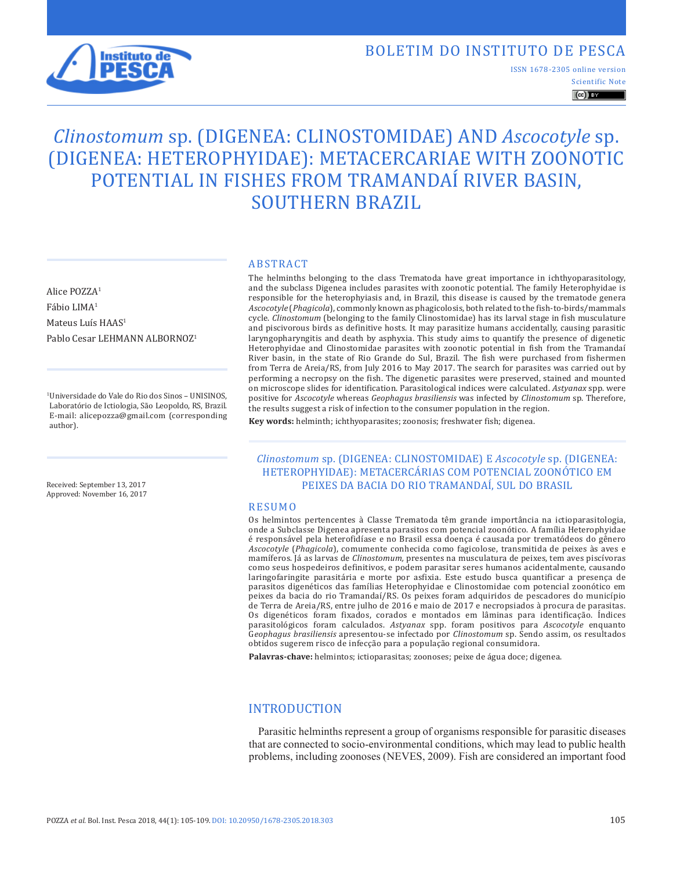

# BOLETIM DO INSTITUTO DE PESCA

Scientific Note ISSN 1678-2305 online version

 $\left(\mathrm{cc}\right)$  BY

# *Clinostomum* sp. (DIGENEA: CLINOSTOMIDAE) AND *Ascocotyle* sp. (DIGENEA: HETEROPHYIDAE): METACERCARIAE WITH ZOONOTIC POTENTIAL IN FISHES FROM TRAMANDAÍ RIVER BASIN, SOUTHERN BRAZIL

Fábio LIMA<sup>1</sup> Mateus Luís HAAS<sup>1</sup> Pablo Cesar LEHMANN ALBORNOZ<sup>1</sup>

Alice POZZA1

1Universidade do Vale do Rio dos Sinos – UNISINOS, Laboratório de Ictiologia, São Leopoldo, RS, Brazil. E-mail: alicepozza@gmail.com (corresponding author).

Received: September 13, 2017 Approved: November 16, 2017

#### ABSTRACT

The helminths belonging to the class Trematoda have great importance in ichthyoparasitology, and the subclass Digenea includes parasites with zoonotic potential. The family Heterophyidae is responsible for the heterophyiasis and, in Brazil, this disease is caused by the trematode genera *Ascocotyle* (*Phagicola*), commonly known as phagicolosis, both related to the fish-to-birds/mammals cycle. *Clinostomum* (belonging to the family Clinostomidae) has its larval stage in fish musculature and piscivorous birds as definitive hosts. It may parasitize humans accidentally, causing parasitic laryngopharyngitis and death by asphyxia. This study aims to quantify the presence of digenetic Heterophyidae and Clinostomidae parasites with zoonotic potential in fish from the Tramandaí River basin, in the state of Rio Grande do Sul, Brazil. The fish were purchased from fishermen from Terra de Areia/RS, from July 2016 to May 2017. The search for parasites was carried out by performing a necropsy on the fish. The digenetic parasites were preserved, stained and mounted on microscope slides for identification. Parasitological indices were calculated. *Astyanax* spp. were positive for *Ascocotyle* whereas *Geophagus brasiliensis* was infected by *Clinostomum* sp. Therefore, the results suggest a risk of infection to the consumer population in the region.

**Key words:** helminth; ichthyoparasites; zoonosis; freshwater fish; digenea.

#### *Clinostomum* sp. (DIGENEA: CLINOSTOMIDAE) E *Ascocotyle* sp. (DIGENEA: HETEROPHYIDAE): METACERCÁRIAS COM POTENCIAL ZOONÓTICO EM PEIXES DA BACIA DO RIO TRAMANDAÍ, SUL DO BRASIL

#### RESUMO

Os helmintos pertencentes à Classe Trematoda têm grande importância na ictioparasitologia, onde a Subclasse Digenea apresenta parasitos com potencial zoonótico. A família Heterophyidae é responsável pela heterofidíase e no Brasil essa doença é causada por trematódeos do gênero *Ascocotyle* (*Phagicola*), comumente conhecida como fagicolose, transmitida de peixes às aves e mamíferos. Já as larvas de *Clinostomum,* presentes na musculatura de peixes, tem aves piscívoras como seus hospedeiros definitivos, e podem parasitar seres humanos acidentalmente, causando laringofaringite parasitária e morte por asfixia. Este estudo busca quantificar a presença de parasitos digenéticos das famílias Heterophyidae e Clinostomidae com potencial zoonótico em peixes da bacia do rio Tramandaí/RS. Os peixes foram adquiridos de pescadores do município de Terra de Areia/RS, entre julho de 2016 e maio de 2017 e necropsiados à procura de parasitas. Os digenéticos foram fixados, corados e montados em lâminas para identificação. Índices parasitológicos foram calculados. *Astyanax* spp. foram positivos para *Ascocotyle* enquanto G*eophagus brasiliensis* apresentou-se infectado por *Clinostomum* sp. Sendo assim, os resultados obtidos sugerem risco de infecção para a população regional consumidora.

**Palavras-chave:** helmintos; ictioparasitas; zoonoses; peixe de água doce; digenea.

#### INTRODUCTION

Parasitic helminths represent a group of organisms responsible for parasitic diseases that are connected to socio-environmental conditions, which may lead to public health problems, including zoonoses (NEVES, 2009). Fish are considered an important food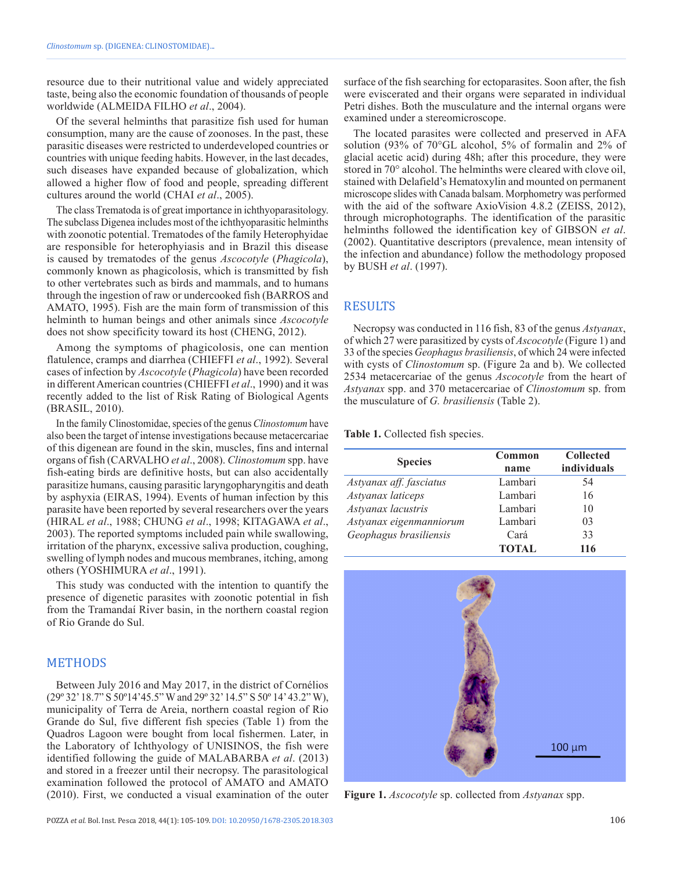resource due to their nutritional value and widely appreciated taste, being also the economic foundation of thousands of people worldwide (ALMEIDA FILHO *et al*., 2004).

Of the several helminths that parasitize fish used for human consumption, many are the cause of zoonoses. In the past, these parasitic diseases were restricted to underdeveloped countries or countries with unique feeding habits. However, in the last decades, such diseases have expanded because of globalization, which allowed a higher flow of food and people, spreading different cultures around the world (CHAI *et al*., 2005).

The class Trematoda is of great importance in ichthyoparasitology. The subclass Digenea includes most of the ichthyoparasitic helminths with zoonotic potential. Trematodes of the family Heterophyidae are responsible for heterophyiasis and in Brazil this disease is caused by trematodes of the genus *Ascocotyle* (*Phagicola*), commonly known as phagicolosis, which is transmitted by fish to other vertebrates such as birds and mammals, and to humans through the ingestion of raw or undercooked fish (BARROS and AMATO, 1995). Fish are the main form of transmission of this helminth to human beings and other animals since *Ascocotyle* does not show specificity toward its host (CHENG, 2012).

Among the symptoms of phagicolosis, one can mention flatulence, cramps and diarrhea (CHIEFFI *et al*., 1992). Several cases of infection by *Ascocotyle* (*Phagicola*) have been recorded in different American countries (CHIEFFI *et al*., 1990) and it was recently added to the list of Risk Rating of Biological Agents (BRASIL, 2010).

In the family Clinostomidae, species of the genus *Clinostomum* have also been the target of intense investigations because metacercariae of this digenean are found in the skin, muscles, fins and internal organs of fish (CARVALHO *et al*., 2008). *Clinostomum* spp. have fish-eating birds are definitive hosts, but can also accidentally parasitize humans, causing parasitic laryngopharyngitis and death by asphyxia (EIRAS, 1994). Events of human infection by this parasite have been reported by several researchers over the years (HIRAL *et al*., 1988; CHUNG *et al*., 1998; KITAGAWA *et al*., 2003). The reported symptoms included pain while swallowing, irritation of the pharynx, excessive saliva production, coughing, swelling of lymph nodes and mucous membranes, itching, among others (YOSHIMURA *et al*., 1991).

This study was conducted with the intention to quantify the presence of digenetic parasites with zoonotic potential in fish from the Tramandaí River basin, in the northern coastal region of Rio Grande do Sul.

#### METHODS

Between July 2016 and May 2017, in the district of Cornélios (29º 32' 18.7" S 50º14'45.5" W and 29º 32' 14.5" S 50º 14' 43.2" W), municipality of Terra de Areia, northern coastal region of Rio Grande do Sul, five different fish species (Table 1) from the Quadros Lagoon were bought from local fishermen. Later, in the Laboratory of Ichthyology of UNISINOS, the fish were identified following the guide of MALABARBA *et al*. (2013) and stored in a freezer until their necropsy. The parasitological examination followed the protocol of AMATO and AMATO (2010). First, we conducted a visual examination of the outer surface of the fish searching for ectoparasites. Soon after, the fish were eviscerated and their organs were separated in individual Petri dishes. Both the musculature and the internal organs were examined under a stereomicroscope.

The located parasites were collected and preserved in AFA solution (93% of 70°GL alcohol, 5% of formalin and 2% of glacial acetic acid) during 48h; after this procedure, they were stored in 70° alcohol. The helminths were cleared with clove oil, stained with Delafield's Hematoxylin and mounted on permanent microscope slides with Canada balsam. Morphometry was performed with the aid of the software AxioVision 4.8.2 (ZEISS, 2012), through microphotographs. The identification of the parasitic helminths followed the identification key of GIBSON *et al*. (2002). Quantitative descriptors (prevalence, mean intensity of the infection and abundance) follow the methodology proposed by BUSH *et al*. (1997).

#### RESULTS

Necropsy was conducted in 116 fish, 83 of the genus *Astyanax*, of which 27 were parasitized by cysts of *Ascocotyle* (Figure 1) and 33 of the species *Geophagus brasiliensis*, of which 24 were infected with cysts of *Clinostomum* sp. (Figure 2a and b). We collected 2534 metacercariae of the genus *Ascocotyle* from the heart of *Astyanax* spp. and 370 metacercariae of *Clinostomum* sp. from the musculature of *G. brasiliensis* (Table 2).

**Table 1.** Collected fish species.

| <b>Species</b>          | Common<br>name | <b>Collected</b><br>individuals |
|-------------------------|----------------|---------------------------------|
| Astyanax aff. fasciatus | Lambari        | 54                              |
| Astyanax laticeps       | Lambari        | 16                              |
| Astyanax lacustris      | Lambari        | 10                              |
| Astyanax eigenmanniorum | Lambari        | 03                              |
| Geophagus brasiliensis  | Cará           | 33                              |
|                         | <b>TOTAL</b>   | 116                             |



**Figure 1.** *Ascocotyle* sp. collected from *Astyanax* spp.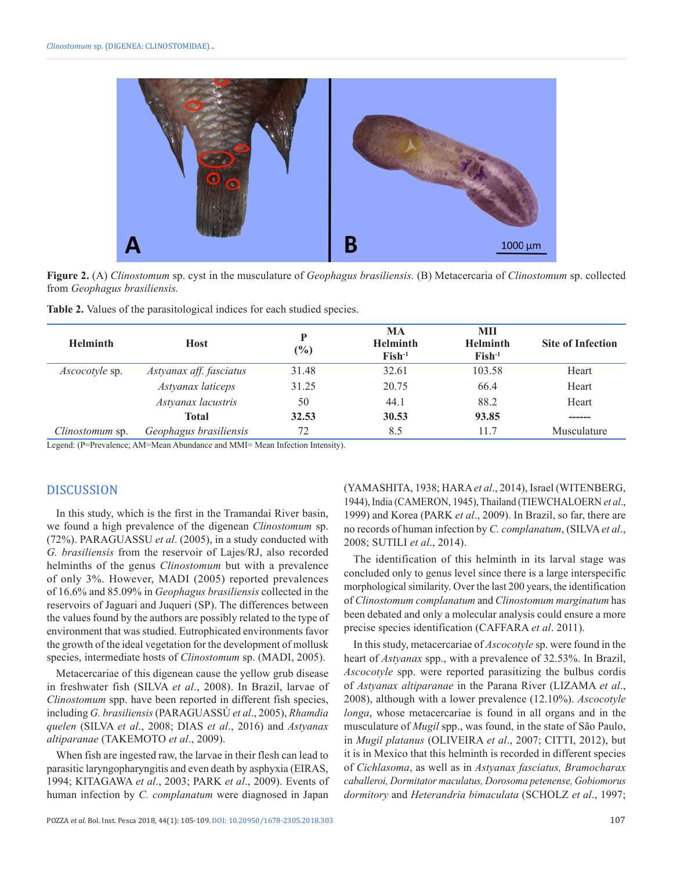

**Figure 2.** (A) *Clinostomum* sp. cyst in the musculature of *Geophagus brasiliensis.* (B) Metacercaria of *Clinostomum* sp. collected from *Geophagus brasiliensis.*

| <b>Helminth</b>        | <b>Host</b>             | D<br>(%) | MA<br><b>Helminth</b><br>$ Fish-1$ | MII<br><b>Helminth</b><br>$\mathrm{Fish}^{-1}$ | <b>Site of Infection</b> |
|------------------------|-------------------------|----------|------------------------------------|------------------------------------------------|--------------------------|
| <i>Ascocotyle</i> sp.  | Astyanax aff. fasciatus | 31.48    | 32.61                              | 103.58                                         | Heart                    |
|                        | Astyanax laticeps       | 31.25    | 20.75                              | 66.4                                           | Heart                    |
|                        | Astyanax lacustris      | 50       | 44.1                               | 88.2                                           | Heart                    |
|                        | <b>Total</b>            | 32.53    | 30.53                              | 93.85                                          |                          |
| <i>Clinostomum</i> sp. | Geophagus brasiliensis  | 72       | 8.5                                | 11.7                                           | Musculature              |

**Table 2.** Values of the parasitological indices for each studied species.

Legend: (P=Prevalence; AM=Mean Abundance and MMI= Mean Infection Intensity).

### **DISCUSSION**

In this study, which is the first in the Tramandaí River basin, we found a high prevalence of the digenean *Clinostomum* sp. (72%). PARAGUASSU *et al*. (2005), in a study conducted with *G. brasiliensis* from the reservoir of Lajes/RJ, also recorded helminths of the genus *Clinostomum* but with a prevalence of only 3%. However, MADI (2005) reported prevalences of 16.6% and 85.09% in *Geophagus brasiliensis* collected in the reservoirs of Jaguari and Juqueri (SP). The differences between the values found by the authors are possibly related to the type of environment that was studied. Eutrophicated environments favor the growth of the ideal vegetation for the development of mollusk species, intermediate hosts of *Clinostomum* sp. (MADI, 2005).

Metacercariae of this digenean cause the yellow grub disease in freshwater fish (SILVA *et al*., 2008). In Brazil, larvae of *Clinostomum* spp. have been reported in different fish species, including *G. brasiliensis* (PARAGUASSÚ *et al*., 2005), *Rhamdia quelen* (SILVA *et al*., 2008; DIAS *et al*., 2016) and *Astyanax altiparanae* (TAKEMOTO *et al*., 2009).

When fish are ingested raw, the larvae in their flesh can lead to parasitic laryngopharyngitis and even death by asphyxia (EIRAS, 1994; KITAGAWA *et al*., 2003; PARK *et al*., 2009). Events of human infection by *C. complanatum* were diagnosed in Japan (YAMASHITA, 1938; HARA*et al*., 2014), Israel (WITENBERG, 1944), India (CAMERON, 1945), Thailand (TIEWCHALOERN *et al*., 1999) and Korea (PARK *et al*., 2009). In Brazil, so far, there are no records of human infection by *C. complanatum*, (SILVA*et al*., 2008; SUTILI *et al*., 2014).

The identification of this helminth in its larval stage was concluded only to genus level since there is a large interspecific morphological similarity. Over the last 200 years, the identification of *Clinostomum complanatum* and *Clinostomum marginatum* has been debated and only a molecular analysis could ensure a more precise species identification (CAFFARA *et al*. 2011).

In this study, metacercariae of *Ascocotyle* sp. were found in the heart of *Astyanax* spp., with a prevalence of 32.53%. In Brazil, *Ascocotyle* spp. were reported parasitizing the bulbus cordis of *Astyanax altiparanae* in the Parana River (LIZAMA *et al*., 2008), although with a lower prevalence (12.10%). *Ascocotyle longa*, whose metacercariae is found in all organs and in the musculature of *Mugil* spp., was found, in the state of São Paulo, in *Mugil platanus* (OLIVEIRA *et al*., 2007; CITTI, 2012), but it is in Mexico that this helminth is recorded in different species of *Cichlasoma*, as well as in *Astyanax fasciatus, Bramocharax caballeroi, Dormitator maculatus, Dorosoma petenense, Gobiomorus dormitory* and *Heterandria bimaculata* (SCHOLZ *et al*., 1997;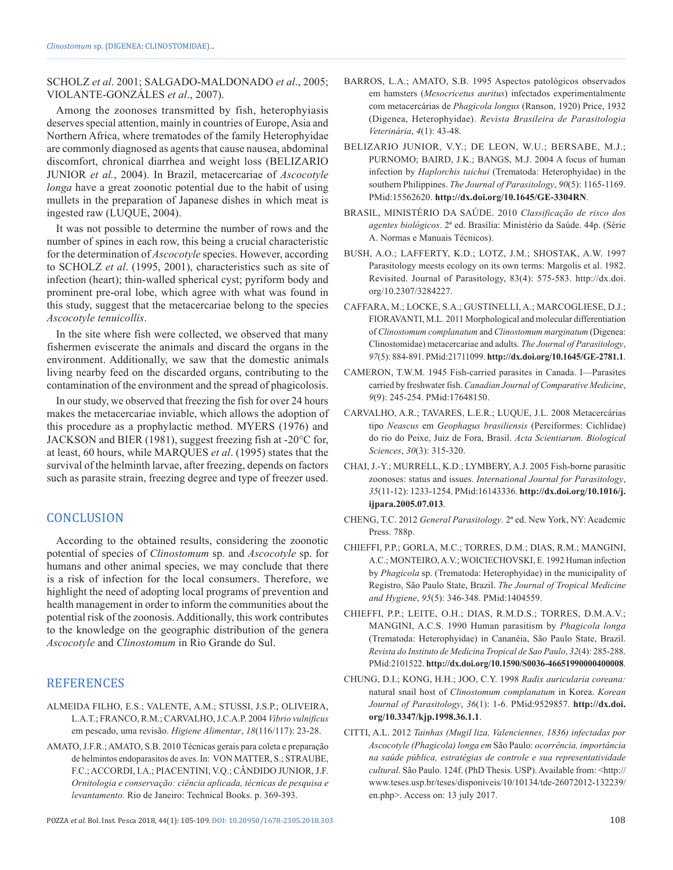#### SCHOLZ *et al*. 2001; SALGADO-MALDONADO *et al*., 2005; VIOLANTE-GONZÁLES *et al*., 2007).

Among the zoonoses transmitted by fish, heterophyiasis deserves special attention, mainly in countries of Europe, Asia and Northern Africa, where trematodes of the family Heterophyidae are commonly diagnosed as agents that cause nausea, abdominal discomfort, chronical diarrhea and weight loss (BELIZARIO JUNIOR *et al.*, 2004). In Brazil, metacercariae of *Ascocotyle longa* have a great zoonotic potential due to the habit of using mullets in the preparation of Japanese dishes in which meat is ingested raw (LUQUE, 2004).

It was not possible to determine the number of rows and the number of spines in each row, this being a crucial characteristic for the determination of *Ascocotyle* species. However, according to SCHOLZ *et al*. (1995, 2001), characteristics such as site of infection (heart); thin-walled spherical cyst; pyriform body and prominent pre-oral lobe, which agree with what was found in this study, suggest that the metacercariae belong to the species *Ascocotyle tenuicollis*.

In the site where fish were collected, we observed that many fishermen eviscerate the animals and discard the organs in the environment. Additionally, we saw that the domestic animals living nearby feed on the discarded organs, contributing to the contamination of the environment and the spread of phagicolosis.

In our study, we observed that freezing the fish for over 24 hours makes the metacercariae inviable, which allows the adoption of this procedure as a prophylactic method. MYERS (1976) and JACKSON and BIER (1981), suggest freezing fish at -20°C for, at least, 60 hours, while MARQUES *et al*. (1995) states that the survival of the helminth larvae, after freezing, depends on factors such as parasite strain, freezing degree and type of freezer used.

#### **CONCLUSION**

According to the obtained results, considering the zoonotic potential of species of *Clinostomum* sp. and *Ascocotyle* sp. for humans and other animal species, we may conclude that there is a risk of infection for the local consumers. Therefore, we highlight the need of adopting local programs of prevention and health management in order to inform the communities about the potential risk of the zoonosis. Additionally, this work contributes to the knowledge on the geographic distribution of the genera *Ascocotyle* and *Clinostomum* in Rio Grande do Sul.

## **REFERENCES**

- ALMEIDA FILHO, E.S.; VALENTE, A.M.; STUSSI, J.S.P.; OLIVEIRA, L.A.T.; FRANCO, R.M.; CARVALHO, J.C.A.P. 2004 *Vibrio vulnificus* em pescado, uma revisão. *Higiene Alimentar*, *18*(116/117): 23-28.
- AMATO, J.F.R.; AMATO, S.B. 2010 Técnicas gerais para coleta e preparação de helmintos endoparasitos de aves. In: VON MATTER, S.; STRAUBE, F.C.; ACCORDI, I.A.; PIACENTINI, V.Q.; CÂNDIDO JUNIOR, J.F. *Ornitologia e conservação: ciência aplicada, técnicas de pesquisa e levantamento.* Rio de Janeiro: Technical Books. p. 369-393.
- BARROS, L.A.; AMATO, S.B. 1995 Aspectos patológicos observados em hamsters (*Mesocricetus auritus*) infectados experimentalmente com metacercárias de *Phagicola longus* (Ranson, 1920) Price, 1932 (Digenea, Heterophyidae). *Revista Brasileira de Parasitologia Veterinária*, *4*(1): 43-48.
- BELIZARIO JUNIOR, V.Y.; DE LEON, W.U.; BERSABE, M.J.; PURNOMO; BAIRD, J.K.; BANGS, M.J. 2004 A focus of human infection by *Haplorchis taichui* (Trematoda: Heterophyidae) in the southern Philippines. *The Journal of Parasitology*, *90*(5): 1165-1169. [PMid:15562620.](http://www.ncbi.nlm.nih.gov/entrez/query.fcgi?cmd=Retrieve&db=PubMed&list_uids=15562620&dopt=Abstract) **<http://dx.doi.org/10.1645/GE-3304RN>**.
- BRASIL, MINISTÉRIO DA SAÚDE. 2010 *Classificação de risco dos agentes biológicos*. 2ª ed. Brasília: Ministério da Saúde. 44p. (Série A. Normas e Manuais Técnicos).
- BUSH, A.O.; LAFFERTY, K.D.; LOTZ, J.M.; SHOSTAK, A.W. 1997 Parasitology meests ecology on its own terms: Margolis et al. 1982. Revisited. Journal of Parasitology, 83(4): 575-583. http://dx.doi. org/10.2307/3284227.
- CAFFARA, M.; LOCKE, S.A.; GUSTINELLI, A.; MARCOGLIESE, D.J.; FIORAVANTI, M.L. 2011 Morphological and molecular differentiation of *Clinostomum complanatum* and *Clinostomum marginatum* (Digenea: Clinostomidae) metacercariae and adults. *The Journal of Parasitology*, *97*(5): 884-891[. PMid:21711099.](http://www.ncbi.nlm.nih.gov/entrez/query.fcgi?cmd=Retrieve&db=PubMed&list_uids=21711099&dopt=Abstract) **<http://dx.doi.org/10.1645/GE-2781.1>**.
- CAMERON, T.W.M. 1945 Fish-carried parasites in Canada. I—Parasites carried by freshwater fish. *Canadian Journal of Comparative Medicine*, *9*(9): 245-254[. PMid:17648150.](http://www.ncbi.nlm.nih.gov/entrez/query.fcgi?cmd=Retrieve&db=PubMed&list_uids=17648150&dopt=Abstract)
- CARVALHO, A.R.; TAVARES, L.E.R.; LUQUE, J.L. 2008 Metacercárias tipo *Neascus* em *Geophagus brasiliensis* (Perciformes: Cichlidae) do rio do Peixe, Juiz de Fora, Brasil. *Acta Scientiarum. Biological Sciences*, *30*(3): 315-320.
- CHAI, J.-Y.; MURRELL, K.D.; LYMBERY, A.J. 2005 Fish-borne parasitic zoonoses: status and issues. *International Journal for Parasitology*, *35*(11-12): 1233-1254[. PMid:16143336.](http://www.ncbi.nlm.nih.gov/entrez/query.fcgi?cmd=Retrieve&db=PubMed&list_uids=16143336&dopt=Abstract) **[http://dx.doi.org/10.1016/j.](http://dx.doi.org/10.1016/j.ijpara.2005.07.013) [ijpara.2005.07.013](http://dx.doi.org/10.1016/j.ijpara.2005.07.013)**.
- CHENG, T.C. 2012 *General Parasitology*. 2ª ed. New York, NY: Academic Press. 788p.
- CHIEFFI, P.P.; GORLA, M.C.; TORRES, D.M.; DIAS, R.M.; MANGINI, A.C.; MONTEIRO, A.V.; WOICIECHOVSKI, E. 1992 Human infection by *Phagicola* sp. (Trematoda: Heterophyidae) in the municipality of Registro, São Paulo State, Brazil. *The Journal of Tropical Medicine and Hygiene*, *95*(5): 346-348. [PMid:1404559.](http://www.ncbi.nlm.nih.gov/entrez/query.fcgi?cmd=Retrieve&db=PubMed&list_uids=1404559&dopt=Abstract)
- CHIEFFI, P.P.; LEITE, O.H.; DIAS, R.M.D.S.; TORRES, D.M.A.V.; MANGINI, A.C.S. 1990 Human parasitism by *Phagicola longa* (Trematoda: Heterophyidae) in Cananéia, São Paulo State, Brazil. *Revista do Instituto de Medicina Tropical de Sao Paulo*, *32*(4): 285-288. [PMid:2101522.](http://www.ncbi.nlm.nih.gov/entrez/query.fcgi?cmd=Retrieve&db=PubMed&list_uids=2101522&dopt=Abstract) **<http://dx.doi.org/10.1590/S0036-46651990000400008>**.
- CHUNG, D.I.; KONG, H.H.; JOO, C.Y. 1998 *Radix auricularia coreana:* natural snail host of *Clinostomum complanatum* in Korea. *Korean Journal of Parasitology*, *36*(1): 1-6[. PMid:9529857.](http://www.ncbi.nlm.nih.gov/entrez/query.fcgi?cmd=Retrieve&db=PubMed&list_uids=9529857&dopt=Abstract) **[http://dx.doi.](http://dx.doi.org/10.3347/kjp.1998.36.1.1) [org/10.3347/kjp.1998.36.1.1](http://dx.doi.org/10.3347/kjp.1998.36.1.1)**.
- CITTI, A.L. 2012 *Tainhas (Mugil liza, Valenciennes, 1836) infectadas por Ascocotyle (Phagicola) longa em* São Paulo: *ocorrência, importância na saúde pública, estratégias de controle e sua representatividade cultural*. São Paulo. 124f. (PhD Thesis. USP). Available from: <http:// www.teses.usp.br/teses/disponiveis/10/10134/tde-26072012-132239/ en.php>. Access on: 13 july 2017.